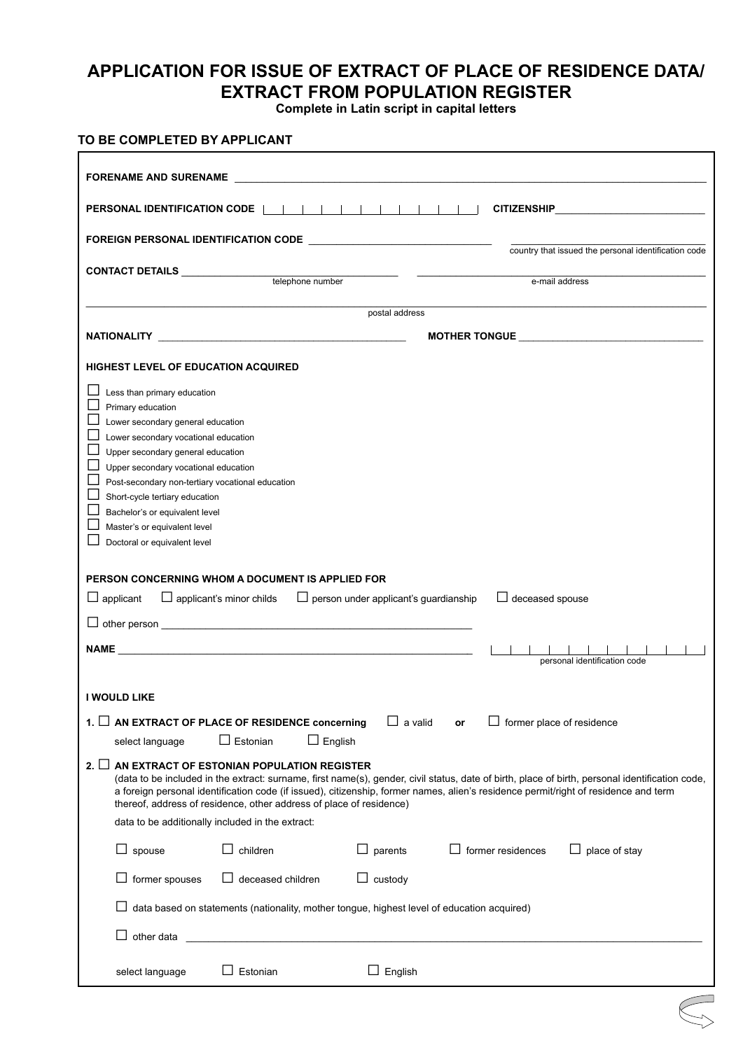## **APPLICATION FOR ISSUE OF EXTRACT OF PLACE OF RESIDENCE DATA/ EXTRACT FROM POPULATION REGISTER**

**Complete in Latin script in capital letters**

|                                                                                       | FORENAME AND SURENAME <b>Example 2006</b>                                                                                                                                                                                      |                                              |                                                                                                                                                                                                                                                                                        |  |
|---------------------------------------------------------------------------------------|--------------------------------------------------------------------------------------------------------------------------------------------------------------------------------------------------------------------------------|----------------------------------------------|----------------------------------------------------------------------------------------------------------------------------------------------------------------------------------------------------------------------------------------------------------------------------------------|--|
| PERSONAL IDENTIFICATION CODE                                                          |                                                                                                                                                                                                                                |                                              |                                                                                                                                                                                                                                                                                        |  |
|                                                                                       |                                                                                                                                                                                                                                |                                              | country that issued the personal identification code                                                                                                                                                                                                                                   |  |
|                                                                                       | CONTACT DETAILS __________________telephone number                                                                                                                                                                             |                                              |                                                                                                                                                                                                                                                                                        |  |
|                                                                                       |                                                                                                                                                                                                                                |                                              | e-mail address                                                                                                                                                                                                                                                                         |  |
|                                                                                       |                                                                                                                                                                                                                                | postal address                               |                                                                                                                                                                                                                                                                                        |  |
|                                                                                       |                                                                                                                                                                                                                                |                                              |                                                                                                                                                                                                                                                                                        |  |
| HIGHEST LEVEL OF EDUCATION ACQUIRED                                                   |                                                                                                                                                                                                                                |                                              |                                                                                                                                                                                                                                                                                        |  |
| Less than primary education                                                           |                                                                                                                                                                                                                                |                                              |                                                                                                                                                                                                                                                                                        |  |
| Primary education<br>Lower secondary general education                                |                                                                                                                                                                                                                                |                                              |                                                                                                                                                                                                                                                                                        |  |
| Lower secondary vocational education                                                  |                                                                                                                                                                                                                                |                                              |                                                                                                                                                                                                                                                                                        |  |
| Upper secondary general education                                                     |                                                                                                                                                                                                                                |                                              |                                                                                                                                                                                                                                                                                        |  |
| Upper secondary vocational education                                                  |                                                                                                                                                                                                                                |                                              |                                                                                                                                                                                                                                                                                        |  |
| ப<br>Post-secondary non-tertiary vocational education                                 |                                                                                                                                                                                                                                |                                              |                                                                                                                                                                                                                                                                                        |  |
| Short-cycle tertiary education<br>ப<br>Bachelor's or equivalent level<br>$\mathbf{r}$ |                                                                                                                                                                                                                                |                                              |                                                                                                                                                                                                                                                                                        |  |
|                                                                                       |                                                                                                                                                                                                                                |                                              |                                                                                                                                                                                                                                                                                        |  |
| Master's or equivalent level                                                          |                                                                                                                                                                                                                                |                                              |                                                                                                                                                                                                                                                                                        |  |
| Doctoral or equivalent level                                                          | PERSON CONCERNING WHOM A DOCUMENT IS APPLIED FOR                                                                                                                                                                               |                                              |                                                                                                                                                                                                                                                                                        |  |
|                                                                                       | $\Box$ applicant's minor childs                                                                                                                                                                                                | $\Box$ person under applicant's guardianship | $\Box$ deceased spouse                                                                                                                                                                                                                                                                 |  |
|                                                                                       | NAME And the contract of the contract of the contract of the contract of the contract of the contract of the contract of the contract of the contract of the contract of the contract of the contract of the contract of the c |                                              | personal identification code                                                                                                                                                                                                                                                           |  |
|                                                                                       |                                                                                                                                                                                                                                |                                              |                                                                                                                                                                                                                                                                                        |  |
|                                                                                       | 1. $\Box$ AN EXTRACT OF PLACE OF RESIDENCE concerning                                                                                                                                                                          | $\Box$ a valid                               | $\Box$ former place of residence<br>or                                                                                                                                                                                                                                                 |  |
| $\Box$ applicant<br>I WOULD LIKE<br>select language                                   | $\Box$ Estonian<br>$\Box$ English                                                                                                                                                                                              |                                              |                                                                                                                                                                                                                                                                                        |  |
| $2. \sqcup$                                                                           | AN EXTRACT OF ESTONIAN POPULATION REGISTER<br>thereof, address of residence, other address of place of residence)                                                                                                              |                                              | (data to be included in the extract: surname, first name(s), gender, civil status, date of birth, place of birth, personal identification code,<br>a foreign personal identification code (if issued), citizenship, former names, alien's residence permit/right of residence and term |  |
|                                                                                       | data to be additionally included in the extract:                                                                                                                                                                               |                                              |                                                                                                                                                                                                                                                                                        |  |
| $\Box$ spouse                                                                         | children                                                                                                                                                                                                                       | parents<br>ப                                 | former residences<br>place of stay<br>ப                                                                                                                                                                                                                                                |  |
| former spouses                                                                        | deceased children                                                                                                                                                                                                              | $\Box$ custody                               |                                                                                                                                                                                                                                                                                        |  |
|                                                                                       | data based on statements (nationality, mother tongue, highest level of education acquired)                                                                                                                                     |                                              |                                                                                                                                                                                                                                                                                        |  |
| $\Box$ other data                                                                     |                                                                                                                                                                                                                                |                                              |                                                                                                                                                                                                                                                                                        |  |